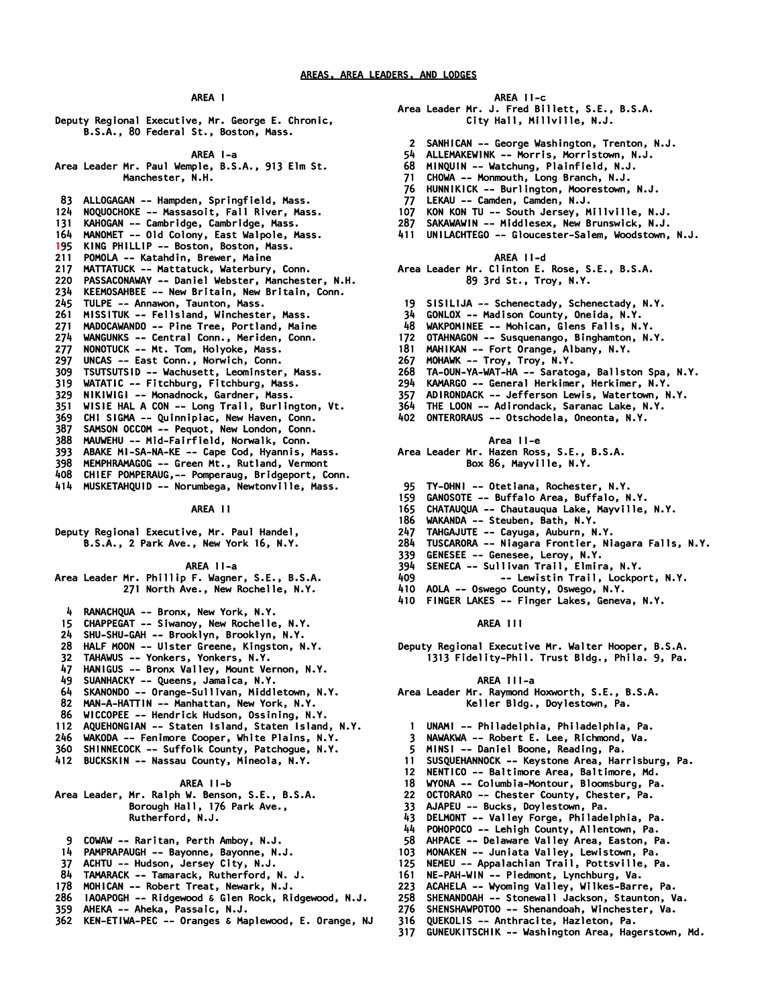*Deputy Regional Executive, Mr. George E. Chronic, B.S.A., 80 Federal St., Boston, Mass.* 

 *AREA I-a* 

*Area Leader Mr. Paul Wemple, B.S.A., 913 Elm St. Manchester, N.H.* 

- *83 ALLOGAGAN -- Hampden, Springfield, Mass. 124 NOQUOCHOKE -- Massasoit, Fall River, Mass. 131 KAHOGAN -- Cambridge, Cambridge, Mass. 164 MANOMET -- Old Colony, East Walpole, Mass. 195 KING PHILLIP -- Boston, Boston, Mass. 211 POMOLA -- Katahdin, Brewer, Maine 217 MATTATUCK -- Mattatuck, Waterbury, Conn. 220 PASSACONAWAY -- Daniel Webster, Manchester, N.H. 234 KEEMOSAHBEE -- New Britain, New Britain, Conn. 245 TULPE -- Annawon, Taunton, Mass. 261 MISSITUK -- Fellsland, Winchester, Mass. 271 MADOCAWANDO -- Pine Tree, Portland, Maine 274 WANGUNKS -- Central Conn., Meriden, Conn. 277 NONOTUCK -- Mt. Tom, Holyoke, Mass. 297 UNCAS -- East Conn., Norwich, Conn. 309 TSUTSUTSID -- Wachusett, Leominster, Mass. 319 WATATIC -- Fitchburg, Fitchburg, Mass. 329 NIKIWIGI -- Monadnock, Gardner, Mass. 351 WISIE HAL A CON -- Long Trail, Burlington, Vt. 369 CHI SIGMA -- Quinnipiac, New Haven, Conn. 387 SAMSON OCCOM -- Pequot, New London, Conn. 388 MAUWEHU -- Mid-Fairfield, Norwalk, Conn. 393 ABAKE MI-SA-NA-KE -- Cape Cod, Hyannis, Mass. 398 MEMPHRAMAGOG -- Green Mt., Rutland, Vermont 408 CHIEF POMPERAUG,-- Pomperaug, Bridgeport, Conn.*
- *414 MUSKETAHQUID -- Norumbega, Newtonville, Mass.*

 *AREA II* 

*Deputy Regional Executive, Mr. Paul Handel, B.S.A., 2 Park Ave., New York 16, N.Y.* 

 *AREA II-a* 

|  | Area Leader Mr. Phillip F. Wagner, S.E., B.S.A. |  |
|--|-------------------------------------------------|--|
|  | 271 North Ave., New Rochelle, N.Y.              |  |

- *4 RANACHQUA -- Bronx, New York, N.Y.*
- *15 CHAPPEGAT -- Siwanoy, New Rochelle, N.Y.*
- *24 SHU-SHU-GAH -- Brooklyn, Brooklyn, N.Y.*
- *28 HALF MOON -- Ulster Greene, Kingston, N.Y.*
- *32 TAHAWUS -- Yonkers, Yonkers, N.Y.*
- *47 HANIGUS -- Bronx Valley, Mount Vernon, N.Y.*
- 
- *49 SUANHACKY -- Queens, Jamaica, N.Y. 64 SKANONDO -- Orange-Sullivan, Middletown, N.Y.*
- *82 MAN-A-HATTIN -- Manhattan, New York, N.Y.*
- 
- *86 WICCOPEE -- Hendrick Hudson, Ossining, N.Y.*
- *112 AQUEHONGIAN -- Staten Island, Staten Island, N.Y. 246 WAKODA -- Fenimore Cooper, White Plains, N.Y.*
- *360 SHINNECOCK -- Suffolk County, Patchogue, N.Y.*
- *412 BUCKSKIN -- Nassau County, Mineola, N.Y.*

#### *AREA II-b*

*Area Leader, Mr. Ralph W. Benson, S.E., B.S.A. Borough Hall, 176 Park Ave., Rutherford, N.J.* 

- *9 COWAW -- Raritan, Perth Amboy, N.J.*
- *14 PAMPRAPAUGH -- Bayonne, Bayonne, N.J.*
- *37 ACHTU -- Hudson, Jersey City, N.J.*
- *84 TAMARACK -- Tamarack, Rutherford, N. J.*
- *178 MOHICAN -- Robert Treat, Newark, N.J.*
- *286 IAOAPOGH -- Ridgewood & Glen Rock, Ridgewood, N.J.*
- *359 AHEKA -- Aheka, Passaic, N.J.*
- *362 KEN-ETIWA-PEC -- Oranges & Maplewood, E. Orange, NJ*

#### *AREA II-c*

- *Area Leader Mr. J. Fred Billett, S.E., B.S.A. City Hall, Millville, N.J.* 
	- *2 SANHICAN -- George Washington, Trenton, N.J.*
- *54 ALLEMAKEWINK -- Morris, Morristown, N.J.*
- *68 MINQUIN -- Watchung, Plainfield, N.J.*
- *71 CHOWA -- Monmouth, Long Branch, N.J.*
- *76 HUNNIKICK -- Burlington, Moorestown, N.J.*
- *77 LEKAU -- Camden, Camden, N.J.*
- *107 KON KON TU -- South Jersey, Millville, N.J.*
- *287 SAKAWAWIN -- Middlesex, New Brunswick, N.J.*
- *411 UNILACHTEGO -- Gloucester-Salem, Woodstown, N.J.* 
	- *AREA II-d*
- *Area Leader Mr. Clinton E. Rose, S.E., B.S.A. 89 3rd St., Troy, N.Y.*
- *19 SISILIJA -- Schenectady, Schenectady, N.Y.*
- *34 GONLOX -- Madison County, Oneida, N.Y.*
- *48 WAKPOMINEE -- Mohican, Glens Falls, N.Y.*
- *172 OTAHNAGON -- Susquenango, Binghamton, N.Y.*
- *181 MAHIKAN -- Fort Orange, Albany, N.Y.*
- *267 MOHAWK -- Troy, Troy, N.Y.*
- *268 TA-OUN-YA-WAT-HA -- Saratoga, Ballston Spa, N.Y.*
- *294 KAMARGO -- General Herkimer, Herkimer, N.Y.*
- *357 ADIRONDACK -- Jefferson Lewis, Watertown, N.Y.*
- *364 THE LOON -- Adirondack, Saranac Lake, N.Y.*
- *402 ONTERORAUS -- Otschodela, Oneonta, N.Y.*

 *Area II-e* 

- *Area Leader Mr. Hazen Ross, S.E., B.S.A. Box 86, Mayville, N.Y.*
- *95 TY-OHNI -- Otetiana, Rochester, N.Y.*
- *159 GANOSOTE -- Buffalo Area, Buffalo, N.Y.*
- *165 CHATAUQUA -- Chautauqua Lake, Mayville, N.Y.*
- *186 WAKANDA -- Steuben, Bath, N.Y.*
- 
- *247 TAHGAJUTE -- Cayuga, Auburn, N.Y. 284 TUSCARORA -- Niagara Frontier, Niagara Falls, N.Y.*
- *339 GENESEE -- Genesee, Leroy, N.Y.*
- 
- *394 SENECA -- Sullivan Trail, Elmira, N.Y. 409 -- Lewistin Trail, Lockport, N.Y.*
- *410 AOLA -- Oswego County, Oswego, N.Y.*
- *410 FINGER LAKES -- Finger Lakes, Geneva, N.Y.*

### *AREA III*

*Deputy Regional Executive Mr. Walter Hooper, B.S.A. 1313 Fidelity-Phil. Trust Bldg., Phila. 9, Pa.* 

#### *AREA III-a*

- *Area Leader Mr. Raymond Hoxworth, S.E., B.S.A. Keller Bldg., Doylestown, Pa.* 
	- *1 UNAMI -- Philadelphia, Philadelphia, Pa.*
	- *3 NAWAKWA -- Robert E. Lee, Richmond, Va.*
- *5 MINSI -- Daniel Boone, Reading, Pa.*
- *11 SUSQUEHANNOCK -- Keystone Area, Harrisburg, Pa.*
- *12 NENTICO -- Baltimore Area, Baltimore, Md.*
- *18 WYONA -- Columbia-Montour, Bloomsburg, Pa.*
- *22 OCTORARO -- Chester County, Chester, Pa.*
- *33 AJAPEU -- Bucks, Doylestown, Pa.*
- *43 DELMONT -- Valley Forge, Philadelphia, Pa.*
- *44 POHOPOCO -- Lehigh County, Allentown, Pa.*
- *58 AHPACE -- Delaware Valley Area, Easton, Pa.*
- *103 MONAKEN -- Juniata Valley, Lewistown, Pa.*
- *125 NEMEU -- Appalachian Trail, Pottsville, Pa.*
- *161 NE-PAH-WIN -- Piedmont, Lynchburg, Va.*
- *223 ACAHELA -- Wyoming Valley, Wilkes-Barre, Pa.*
- *258 SHENANDOAH -- Stonewall Jackson, Staunton, Va.*
- *276 SHENSHAWPOTOO -- Shenandoah, Winchester, Va.*
- *316 QUEKOLIS -- Anthracite, Hazleton, Pa.*
- *317 GUNEUKITSCHIK -- Washington Area, Hagerstown, Md.*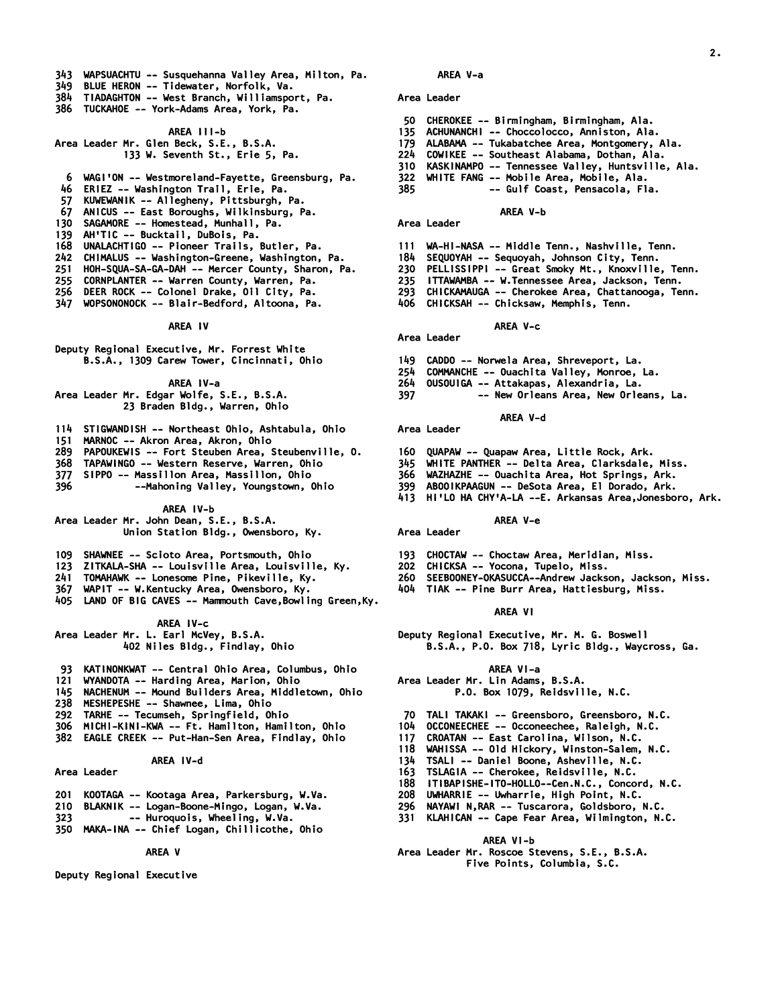- *343 WAPSUACHTU -- Susquehanna Valley Area, Milton, Pa.*
- *349 BLUE HERON -- Tidewater, Norfolk, Va.*
- *384 TIADAGHTON -- West Branch, Williamsport, Pa.*
- *386 TUCKAHOE -- York-Adams Area, York, Pa.*

## *AREA III-b*

*Area Leader Mr. Glen Beck, S.E., B.S.A. 133 W. Seventh St., Erie 5, Pa.* 

- *6 WAGI'ON -- Westmoreland-Fayette, Greensburg, Pa.*
- *46 ERIEZ -- Washington Trail, Erie, Pa.*
- *57 KUWEWANIK -- Allegheny, Pittsburgh, Pa.*
- *67 ANICUS -- East Boroughs, Wilkinsburg, Pa.*
- *130 SAGAMORE -- Homestead, Munhall, Pa.*
- *139 AH'TIC -- Bucktail, DuBois, Pa.*
- *168 UNALACHTIGO -- Pioneer Trails, Butler, Pa.*
- *242 CHIMALUS -- Washington-Greene, Washington, Pa.*
- *251 HOH-SQUA-SA-GA-DAH -- Mercer County, Sharon, Pa.*
- *255 CORNPLANTER -- Warren County, Warren, Pa.*
- *256 DEER ROCK -- Colonel Drake, Oil City, Pa.*
- *347 WOPSONONOCK -- Blair-Bedford, Altoona, Pa.*

#### *AREA IV*

*Deputy Regional Executive, Mr. Forrest White B.S.A., 1309 Carew Tower, Cincinnati, Ohio* 

# *AREA IV-a*

*Area Leader Mr. Edgar Wolfe, S.E., B.S.A. 23 Braden Bldg., Warren, Ohio* 

- *114 STIGWANDISH -- Northeast Ohio, Ashtabula, Ohio*
- *151 MARNOC -- Akron Area, Akron, Ohio*
- *289 PAPOUKEWIS -- Fort Steuben Area, Steubenville, O.*
- *368 TAPAWINGO -- Western Reserve, Warren, Ohio*
- *377 SIPPO -- Massillon Area, Massillon, Ohio*
- *396 --Mahoning Valley, Youngstown, Ohio*

# *AREA IV-b*

# *Area Leader Mr. John Dean, S.E., B.S.A. Union Station Bldg., Owensboro, Ky.*

- *109 SHAWNEE -- Scioto Area, Portsmouth, Ohio*
- *123 ZITKALA-SHA -- Louisville Area, Louisville, Ky.*
- *241 TOMAHAWK -- Lonesome Pine, Pikeville, Ky.*
- *367 WAPIT -- W.Kentucky Area, Owensboro, Ky.*
- *405 LAND OF BIG CAVES -- Mammouth Cave,Bowling Green,Ky.*

# *AREA IV-c Area Leader Mr. L. Earl McVey, B.S.A. 402 Niles Bldg., Findlay, Ohio*

- *93 KATINONKWAT -- Central Ohio Area, Columbus, Ohio*
- *121 WYANDOTA -- Harding Area, Marion, Ohio*
- *145 NACHENUM -- Mound Builders Area, Middletown, Ohio*
- *238 MESHEPESHE -- Shawnee, Lima, Ohio*
- *292 TARHE -- Tecumseh, Springfield, Ohio*
- *306 MICHI-KINI-KWA -- Ft. Hamilton, Hamilton, Ohio*
- *382 EAGLE CREEK -- Put-Han-Sen Area, Findlay, Ohio*

# *AREA IV-d*

- *Area Leader*
- 201  *201 KOOTAGA -- Kootaga Area, Parkersburg, W.Va.*
- *210 BLAKNIK -- Logan-Boone-Mingo, Logan, W.Va.*
- *323 -- Huroquois, Wheeling, W.Va.*
- *350 MAKA-INA -- Chief Logan, Chillicothe, Ohio*

# *AREA V*

*Deputy Regional Executive* 

# *AREA V-a*

# *Area Leader*

- *50 CHEROKEE -- Birmingham, Birmingham, Ala.*
- *135 ACHUNANCHI -- Choccolocco, Anniston, Ala.*
- *179 ALABAMA -- Tukabatchee Area, Montgomery, Ala.*
- *224 COWIKEE -- Southeast Alabama, Dothan, Ala.*
- *310 KASKINAMPO -- Tennessee Valley, Huntsville, Ala.*

*2.* 

- *322 WHITE FANG -- Mobile Area, Mobile, Ala. 385 -- Gulf Coast, Pensacola, Fla.* 
	-

# *AREA V-b*

# *Area Leader*

- *111 WA-HI-NASA -- Middle Tenn., Nashville, Tenn.*
- *184 SEQUOYAH -- Sequoyah, Johnson City, Tenn.*
- *230 PELLISSIPPI -- Great Smoky Mt., Knoxville, Tenn.*
- *235 ITTAWAMBA -- W.Tennessee Area, Jackson, Tenn.*
- *293 CHICKAMAUGA -- Cherokee Area, Chattanooga, Tenn.*
- *406 CHICKSAH -- Chicksaw, Memphis, Tenn.*

# *AREA V-c*

- *Area Leader*
- *149 CADDO -- Norwela Area, Shreveport, La.*
- *254 COMMANCHE -- Ouachita Valley, Monroe, La.*
- *264 OUSOUIGA -- Attakapas, Alexandria, La.*
- *397 -- New Orleans Area, New Orleans, La.* 
	- *AREA V-d*

*Area Leader* 

- *160 QUAPAW -- Quapaw Area, Little Rock, Ark.*
- *345 WHITE PANTHER -- Delta Area, Clarksdale, Miss.*
- *366 WAZHAZHE -- Ouachita Area, Hot Springs, Ark.*
- *399 ABOOIKPAAGUN -- DeSota Area, El Dorado, Ark.*
- *413 HI'LO HA CHY'A-LA --E. Arkansas Area,Jonesboro, Ark.*

#### *AREA V-e*

# *Area Leader*

- *193 CHOCTAW -- Choctaw Area, Meridian, Miss.*
- *202 CHICKSA -- Yocona, Tupelo, Miss.*
- *260 SEEBOONEY-OKASUCCA--Andrew Jackson, Jackson, Miss.*
- *404 TIAK -- Pine Burr Area, Hattiesburg, Miss.*

#### *AREA VI*

*Deputy Regional Executive, Mr. M. G. Boswell B.S.A., P.O. Box 718, Lyric Bldg., Waycross, Ga.* 

### *AREA VI-a*

### *Area Leader Mr. Lin Adams, B.S.A. P.O. Box 1079, Reidsville, N.C.*

- *70 TALI TAKAKI -- Greensboro, Greensboro, N.C.*
- *104 OCCONEECHEE -- Occoneechee, Raleigh, N.C.*
- 
- *117 CROATAN -- East Carolina, Wilson, N.C. 118 WAHISSA -- Old Hickory, Winston-Salem, N.C.*
- *134 TSALI -- Daniel Boone, Asheville, N.C.*
- *163 TSLAGIA -- Cherokee, Reidsville, N.C.*

 *AREA VI-b Area Leader Mr. Roscoe Stevens, S.E., B.S.A. Five Points, Columbia, S.C.* 

- *188 ITIBAPISHE-ITO-HOLLO--Cen.N.C., Concord, N.C.*
- *208 UWHARRIE -- Uwharrie, High Point, N.C.*
- *296 NAYAWI N,RAR -- Tuscarora, Goldsboro, N.C. 331 KLAHICAN -- Cape Fear Area, Wilmington, N.C.*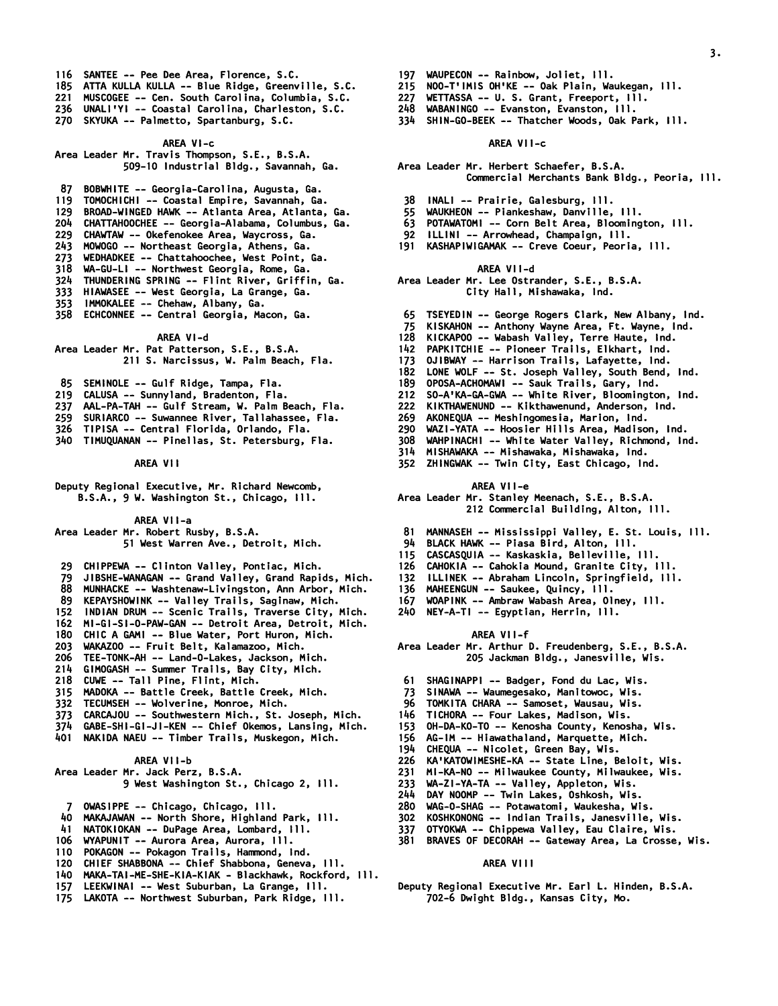- *116 SANTEE -- Pee Dee Area, Florence, S.C.*
- *185 ATTA KULLA KULLA -- Blue Ridge, Greenville, S.C.*
- *221 MUSCOGEE -- Cen. South Carolina, Columbia, S.C.*
- *236 UNALI'YI -- Coastal Carolina, Charleston, S.C.*
- *270 SKYUKA -- Palmetto, Spartanburg, S.C.*

### *AREA VI-c Area Leader Mr. Travis Thompson, S.E., B.S.A. 509-10 Industrial Bldg., Savannah, Ga.*

 *87 BOBWHITE -- Georgia-Carolina, Augusta, Ga.* 

- *119 TOMOCHICHI -- Coastal Empire, Savannah, Ga.*
- *129 BROAD-WINGED HAWK -- Atlanta Area, Atlanta, Ga.*
- *204 CHATTAHOOCHEE -- Georgia-Alabama, Columbus, Ga.*
- *229 CHAWTAW -- Okefenokee Area, Waycross, Ga.*
- *243 MOWOGO -- Northeast Georgia, Athens, Ga. 273 WEDHADKEE -- Chattahoochee, West Point, Ga.*
- 
- *318 WA-GU-LI -- Northwest Georgia, Rome, Ga. 324 THUNDERING SPRING -- Flint River, Griffin, Ga.*
- *333 HIAWASEE -- West Georgia, La Grange, Ga.*
- 
- *353 IMMOKALEE -- Chehaw, Albany, Ga. 358 ECHCONNEE -- Central Georgia, Macon, Ga.*

# *AREA VI-d*

*Area Leader Mr. Pat Patterson, S.E., B.S.A.* 

- *211 S. Narcissus, W. Palm Beach, Fla.*
- *85 SEMINOLE -- Gulf Ridge, Tampa, Fla.*
- *219 CALUSA -- Sunnyland, Bradenton, Fla.*
- *237 AAL-PA-TAH -- Gulf Stream, W. Palm Beach, Fla.*
- *259 SURIARCO -- Suwannee River, Tallahassee, Fla.*
- *326 TIPISA -- Central Florida, Orlando, Fla.*
- *340 TIMUQUANAN -- Pinellas, St. Petersburg, Fla.* 
	- *AREA VII*

*Deputy Regional Executive, Mr. Richard Newcomb, B.S.A., 9 W. Washington St., Chicago, Ill.* 

 *AREA VII-a* 

*Area Leader Mr. Robert Rusby, B.S.A.* 

 *51 West Warren Ave., Detroit, Mich.* 

- *29 CHIPPEWA -- Clinton Valley, Pontiac, Mich.*
- *79 JIBSHE-WANAGAN -- Grand Valley, Grand Rapids, Mich.*
- *88 MUNHACKE -- Washtenaw-Livingston, Ann Arbor, Mich.*
- *89 KEPAYSHOWINK -- Valley Trails, Saginaw, Mich.*
- *152 INDIAN DRUM -- Scenic Trails, Traverse City, Mich.*
- *162 MI-GI-SI-O-PAW-GAN -- Detroit Area, Detroit, Mich.*
- *180 CHIC A GAMI -- Blue Water, Port Huron, Mich.*
- *203 WAKAZOO -- Fruit Belt, Kalamazoo, Mich.*
- *206 TEE-TONK-AH -- Land-O-Lakes, Jackson, Mich.*
- *214 GIMOGASH -- Summer Trails, Bay City, Mich.*
- 
- *218 CUWE -- Tall Pine, Flint, Mich. 315 MADOKA -- Battle Creek, Battle Creek, Mich.*
- *332 TECUMSEH -- Wolverine, Monroe, Mich.*
- *373 CARCAJOU -- Southwestern Mich., St. Joseph, Mich.*
- *374 GABE-SHI-GI-JI-KEN -- Chief Okemos, Lansing, Mich.*
- *401 NAKIDA NAEU -- Timber Trails, Muskegon, Mich.*

# *AREA VII-b*

# *Area Leader Mr. Jack Perz, B.S.A. 9 West Washington St., Chicago 2, Ill.*

- *7 OWASIPPE -- Chicago, Chicago, Ill.*
- *40 MAKAJAWAN -- North Shore, Highland Park, Ill.*
- *41 NATOKIOKAN -- DuPage Area, Lombard, Ill.*
- *106 WYAPUNIT -- Aurora Area, Aurora, Ill.*
- *110 POKAGON -- Pokagon Trails, Hammond, Ind.*
- *120 CHIEF SHABBONA -- Chief Shabbona, Geneva, Ill.*
- *140 MAKA-TAI-ME-SHE-KIA-KIAK Blackhawk, Rockford, Ill.*
- *157 LEEKWINAI -- West Suburban, La Grange, Ill.*
- *175 LAKOTA -- Northwest Suburban, Park Ridge, Ill.*
- *197 WAUPECON -- Rainbow, Joliet, Ill.*
- *215 NOO-T'IMIS OH'KE -- Oak Plain, Waukegan, Ill.*
- *227 WETTASSA -- U. S. Grant, Freeport, Ill.*
- *248 WABANINGO -- Evanston, Evanston, Ill.*
- *334 SHIN-GO-BEEK -- Thatcher Woods, Oak Park, Ill.*

#### *AREA VII-c*

*Area Leader Mr. Herbert Schaefer, B.S.A. Commercial Merchants Bank Bldg., Peoria, Ill.* 

*3.* 

- *38 INALI -- Prairie, Galesburg, Ill.*
- *55 WAUKHEON -- Piankeshaw, Danville, Ill.*
- *63 POTAWATOMI -- Corn Belt Area, Bloomington, Ill.*
- *92 ILLINI -- Arrowhead, Champaign, Ill.*
- *191 KASHAPIWIGAMAK -- Creve Coeur, Peoria, Ill.* 
	- *AREA VII-d*

### *Area Leader Mr. Lee Ostrander, S.E., B.S.A. City Hall, Mishawaka, Ind.*

- *65 TSEYEDIN -- George Rogers Clark, New Albany, Ind.*
- *75 KISKAHON -- Anthony Wayne Area, Ft. Wayne, Ind.*
- *128 KICKAPOO -- Wabash Valley, Terre Haute, Ind.*
- *142 PAPKITCHIE -- Pioneer Trails, Elkhart, Ind.*
- *173 OJIBWAY -- Harrison Trails, Lafayette, Ind.*
- *182 LONE WOLF -- St. Joseph Valley, South Bend, Ind.*
- *189 OPOSA-ACHOMAWI -- Sauk Trails, Gary, Ind.*
- *212 SO-A'KA-GA-GWA -- White River, Bloomington, Ind.*
- *222 KIKTHAWENUND -- Kikthawenund, Anderson, Ind.*
- *269 AKONEQUA -- Meshingomesia, Marion, Ind.*
- *290 WAZI-YATA -- Hoosier Hills Area, Madison, Ind.*
- *308 WAHPINACHI -- White Water Valley, Richmond, Ind.*
- 
- *314 MISHAWAKA -- Mishawaka, Mishawaka, Ind. 352 ZHINGWAK -- Twin City, East Chicago, Ind.*

#### *AREA VII-e*

# *Area Leader Mr. Stanley Meenach, S.E., B.S.A.*

 *212 Commercial Building, Alton, Ill.* 

- *81 MANNASEH -- Mississippi Valley, E. St. Louis, Ill.*
- *94 BLACK HAWK -- Piasa Bird, Alton, Ill.*
- *115 CASCASQUIA -- Kaskaskia, Belleville, Ill.*
- *126 CAHOKIA -- Cahokia Mound, Granite City, Ill.*
- *132 ILLINEK -- Abraham Lincoln, Springfield, Ill.*
- 
- *136 MAHEENGUN -- Saukee, Quincy, Ill. 167 WOAPINK -- Ambraw Wabash Area, Olney, Ill.*
- *240 NEY-A-TI -- Egyptian, Herrin, Ill.*

# *AREA VII-f*

*Area Leader Mr. Arthur D. Freudenberg, S.E., B.S.A. 205 Jackman Bldg., Janesville, Wis.* 

 *226 KA'KATOWIMESHE-KA -- State Line, Beloit, Wis. 231 MI-KA-NO -- Milwaukee County, Milwaukee, Wis.* 

 *381 BRAVES OF DECORAH -- Gateway Area, La Crosse, Wis.* 

*Deputy Regional Executive Mr. Earl L. Hinden, B.S.A. 702-6 Dwight Bldg., Kansas City, Mo.* 

 *61 SHAGINAPPI -- Badger, Fond du Lac, Wis. 73 SINAWA -- Waumegesako, Manitowoc, Wis.* 

 *96 TOMKITA CHARA -- Samoset, Wausau, Wis. 146 TICHORA -- Four Lakes, Madison, Wis. 153 OH-DA-KO-TO -- Kenosha County, Kenosha, Wis. 156 AG-IM -- Hiawathaland, Marquette, Mich. 194 CHEQUA -- Nicolet, Green Bay, Wis.* 

 *233 WA-ZI-YA-TA -- Valley, Appleton, Wis. 244 DAY NOOMP -- Twin Lakes, Oshkosh, Wis. 280 WAG-O-SHAG -- Potawatomi, Waukesha, Wis. 302 KOSHKONONG -- Indian Trails, Janesville, Wis. 337 OTYOKWA -- Chippewa Valley, Eau Claire, Wis.* 

 *AREA VIII*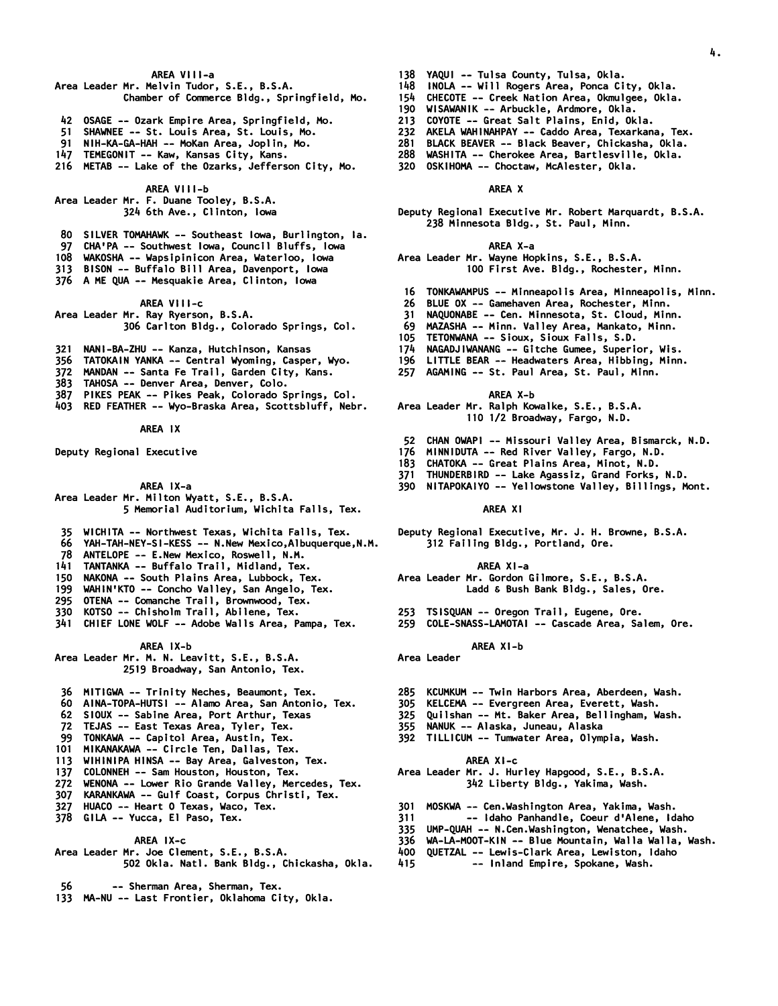### *AREA VIII-a*

### *Area Leader Mr. Melvin Tudor, S.E., B.S.A. Chamber of Commerce Bldg., Springfield, Mo.*

- *42 OSAGE -- Ozark Empire Area, Springfield, Mo.*
- *51 SHAWNEE -- St. Louis Area, St. Louis, Mo.*
- *91 NIH-KA-GA-HAH -- MoKan Area, Joplin, Mo.*
- *147 TEMEGONIT -- Kaw, Kansas City, Kans.*
- *216 METAB -- Lake of the Ozarks, Jefferson City, Mo.*

 *AREA VIII-b* 

*Area Leader Mr. F. Duane Tooley, B.S.A. 324 6th Ave., Clinton, Iowa* 

- *80 SILVER TOMAHAWK -- Southeast Iowa, Burlington, Ia.*
- *97 CHA'PA -- Southwest Iowa, Council Bluffs, Iowa*
- *108 WAKOSHA -- Wapsipinicon Area, Waterloo, Iowa*
- *313 BISON -- Buffalo Bill Area, Davenport, Iowa*
- *376 A ME QUA -- Mesquakie Area, Clinton, Iowa*

 *AREA VIII-c Area Leader Mr. Ray Ryerson, B.S.A. 306 Carlton Bldg., Colorado Springs, Col.* 

- *321 NANI-BA-ZHU -- Kanza, Hutchinson, Kansas*
- *356 TATOKAIN YANKA -- Central Wyoming, Casper, Wyo.*
- *372 MANDAN -- Santa Fe Trail, Garden City, Kans.*
- *383 TAHOSA -- Denver Area, Denver, Colo.*
- *387 PIKES PEAK -- Pikes Peak, Colorado Springs, Col.*
- *403 RED FEATHER -- Wyo-Braska Area, Scottsbluff, Nebr.*
- 

# *AREA IX*

*Deputy Regional Executive* 

 *AREA IX-a* 

- *Area Leader Mr. Milton Wyatt, S.E., B.S.A. 5 Memorial Auditorium, Wichita Falls, Tex.*
- *35 WICHITA -- Northwest Texas, Wichita Falls, Tex.*
- *66 YAH-TAH-NEY-SI-KESS -- N.New Mexico,Albuquerque,N.M.*
- *78 ANTELOPE -- E.New Mexico, Roswell, N.M.*
- *141 TANTANKA -- Buffalo Trail, Midland, Tex.*
- *150 NAKONA -- South Plains Area, Lubbock, Tex.*
- *199 WAHIN'KTO -- Concho Valley, San Angelo, Tex.*
- *295 OTENA -- Comanche Trail, Brownwood, Tex.*
- *330 KOTSO -- Chisholm Trail, Abilene, Tex.*
- *341 CHIEF LONE WOLF -- Adobe Walls Area, Pampa, Tex.*

 *AREA IX-b* 

*Area Leader Mr. M. N. Leavitt, S.E., B.S.A. 2519 Broadway, San Antonio, Tex.* 

- *36 MITIGWA -- Trinity Neches, Beaumont, Tex.*
- *60 AINA-TOPA-HUTSI -- Alamo Area, San Antonio, Tex.*
- *62 SIOUX -- Sabine Area, Port Arthur, Texas*
- *72 TEJAS -- East Texas Area, Tyler, Tex.*
- *99 TONKAWA -- Capitol Area, Austin, Tex.*
- *101 MIKANAKAWA -- Circle Ten, Dallas, Tex.*
- *113 WIHINIPA HINSA -- Bay Area, Galveston, Tex.*
- *137 COLONNEH -- Sam Houston, Houston, Tex.*
- *272 WENONA -- Lower Rio Grande Valley, Mercedes, Tex.*
- *307 KARANKAWA -- Gulf Coast, Corpus Christi, Tex.*
- *327 HUACO -- Heart O Texas, Waco, Tex.*
- *378 GILA -- Yucca, El Paso, Tex.*

# *AREA IX-c*

- *Area Leader Mr. Joe Clement, S.E., B.S.A. 502 Okla. Natl. Bank Bldg., Chickasha, Okla.*
- *56 -- Sherman Area, Sherman, Tex.*
- *133 MA-NU -- Last Frontier, Oklahoma City, Okla.*
- *138 YAQUI -- Tulsa County, Tulsa, Okla.*
- *148 INOLA -- Will Rogers Area, Ponca City, Okla.*

*4.* 

- *154 CHECOTE -- Creek Nation Area, Okmulgee, Okla.*
- *190 WISAWANIK -- Arbuckle, Ardmore, Okla.*
- *213 COYOTE -- Great Salt Plains, Enid, Okla.*
- *232 AKELA WAHINAHPAY -- Caddo Area, Texarkana, Tex.*
- *281 BLACK BEAVER -- Black Beaver, Chickasha, Okla. 288 WASHITA -- Cherokee Area, Bartlesville, Okla.*
- *320 OSKIHOMA -- Choctaw, McAlester, Okla.*

# *AREA X*

*Deputy Regional Executive Mr. Robert Marquardt, B.S.A. 238 Minnesota Bldg., St. Paul, Minn.* 

# *AREA X-a*

- *Area Leader Mr. Wayne Hopkins, S.E., B.S.A. 100 First Ave. Bldg., Rochester, Minn.*
- *16 TONKAWAMPUS -- Minneapolis Area, Minneapolis, Minn.*
- *26 BLUE OX -- Gamehaven Area, Rochester, Minn.*
- *31 NAQUONABE -- Cen. Minnesota, St. Cloud, Minn.*
- *69 MAZASHA -- Minn. Valley Area, Mankato, Minn.*
- *105 TETONWANA -- Sioux, Sioux Falls, S.D.*
- *174 NAGADJIWANANG -- Gitche Gumee, Superior, Wis.*
- *196 LITTLE BEAR -- Headwaters Area, Hibbing, Minn.*
- *257 AGAMING -- St. Paul Area, St. Paul, Minn.*

#### *AREA X-b*

- *Area Leader Mr. Ralph Kowalke, S.E., B.S.A. 110 1/2 Broadway, Fargo, N.D.*
- *52 CHAN OWAPI -- Missouri Valley Area, Bismarck, N.D.*
- *176 MINNIDUTA -- Red River Valley, Fargo, N.D.*
- *183 CHATOKA -- Great Plains Area, Minot, N.D.*
- *371 THUNDERBIRD -- Lake Agassiz, Grand Forks, N.D.*
- *390 NITAPOKAIYO -- Yellowstone Valley, Billings, Mont.*

#### *AREA XI*

*Deputy Regional Executive, Mr. J. H. Browne, B.S.A. 312 Failing Bldg., Portland, Ore.* 

## *AREA XI-a*

*Area Leader Mr. Gordon Gilmore, S.E., B.S.A. Ladd & Bush Bank Bldg., Sales, Ore.* 

- *253 TSISQUAN -- Oregon Trail, Eugene, Ore.*
- *259 COLE-SNASS-LAMOTAI -- Cascade Area, Salem, Ore.*

#### *AREA XI-b Area Leader*

- *285 KCUMKUM -- Twin Harbors Area, Aberdeen, Wash.*
- *305 KELCEMA -- Evergreen Area, Everett, Wash.*
- *325 Quilshan -- Mt. Baker Area, Bellingham, Wash.*
- *355 NANUK -- Alaska, Juneau, Alaska*
- *392 TILLICUM -- Tumwater Area, Olympia, Wash.*

#### *AREA XI-c*

# *Area Leader Mr. J. Hurley Hapgood, S.E., B.S.A. 342 Liberty Bldg., Yakima, Wash.*

- *301 MOSKWA -- Cen.Washington Area, Yakima, Wash.*
- *311 -- Idaho Panhandle, Coeur d'Alene, Idaho*
- *335 UMP-QUAH -- N.Cen.Washington, Wenatchee, Wash.*
- *336 WA-LA-MOOT-KIN -- Blue Mountain, Walla Walla, Wash.*
- *400 QUETZAL -- Lewis-Clark Area, Lewiston, Idaho 415 -- Inland Empire, Spokane, Wash.*